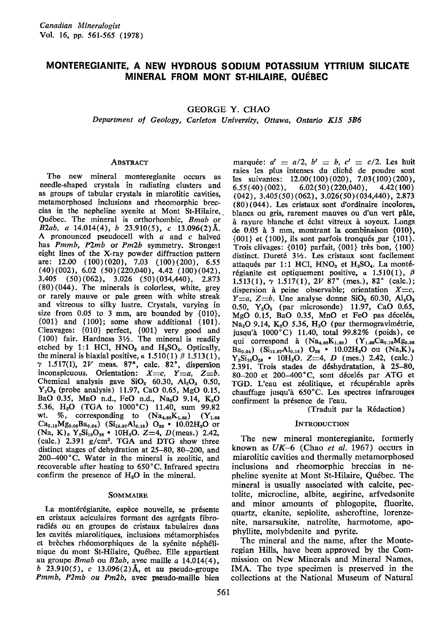# MONTEREGIANITE, A NEW HYDROUS SODIUM POTASSIUM YTTRIUM SILICATE MINERAL FROM MONT ST.HIIAIRE, OUEBEC

GEORGE Y. CHAO

Department of Geology, Carleton University, Ottawa, Ontario KIS 586

#### **ABSTRACT**

Tho new mineral monteregianite occurs as needle-shaped crystals in radiating clusters and as groups of tabular crystals in miarolitic cavities, metamorphosed inclusions and rheomorphic breccias in the nepheline syenite at Mont St-Hilaire, Québec. The mineral is orthorhombic, Bmab or B2ab, a  $14.014(4)$ , b  $23.910(5)$ , c  $13.096(2)$ Å. A pronounced pseudocell with a and c halved has Pmmb, P2mb or Pm2b symmetry. Strongest eight lines of the X-ray powder diffraction pattern are: 12.00 (100)(020), 7.03 (100)(200), 6.55  $(40)(002)$ , 6.02  $(50)(220,040)$ , 4.42  $(100)(042)$ , 3.40s (50) (062), 3.026 (50) (034,440) , 2.873 (80)(044). The minerals is colorless, white, grey or rarely mauve or pale green with white streak and vitreous to silky lustre. Crystals, varying in size from  $0.05$  to 3 mm, are bounded by  $\{010\}$ ,  $\{001\}$  and  $\{100\}$ ; some show additional  $\{101\}$ . Cleavages: {010} perfect, {001} very good and  ${100}$  fair. Hardness  $3\frac{1}{2}$ . The mineral is readily etched by 1:1 HCl, HNO<sub>3</sub> and H<sub>2</sub>SO<sub>4</sub>. Optically, the mineral is biaxial positive,  $\alpha$  1.510(1)  $\beta$  1.513(1),  $\gamma$  1.517(1), 2V meas. 87°, calc. 82°, dispersion inconspicuous. Orientation:  $X=c$ ,  $Y=a$ ,  $Z=b$ . Chemical analysis gave  $SiO<sub>2</sub>$  60.30,  $Al<sub>2</sub>O<sub>3</sub>$  0.50,  $Y_2O_3$  (probe analysis) 11.97, CaO 0.65, MgO 0.15, BaO 0.35, MnO n.d., FeO n.d., Na<sub>2</sub>O 9.14, K<sub>2</sub>O 5.36, H<sub>2</sub>O (TGA to 1000°C) 11.40, sum 99.82<br>wt. %, corresponding to  $(Na_{4.66}K_{1.80})$  (Y<sub>1.68</sub>) wt. %, corresponding to  $(Na_{4.66}K_{1.80})$  $Ca_{0.18}Mg_{0.06}Ba_{0.04})$  (Si<sub>15.87</sub>Al<sub>0.16</sub>) O<sub>38</sub> • 10.02H<sub>2</sub>O or  $(Na, K)_{6}$  Y<sub>2</sub>Si<sub>16</sub>O<sub>38</sub> . 10H<sub>2</sub>O. Z=4, D(meas.) 2.42, (calc.)  $2.391$  g/cm<sup>3</sup>. TGA and DTG show three distinct stages of dehydration at 25-80, 80-200, and 200-400'C. Water in the mineral is zeolitic, and recoverable after heating to 650'C. Infrared spectra confirm the presence of  $H_2O$  in the mineral.

#### **SOMMAIRE**

La montérégianite, espèce nouvelle, se présente en cristaux aciculaires formant des agrégats fibroradi6s ou en groupes de cristaux tabulaires dans les cavités miarolitiques, inclusions métamorphisées et brèches rhéomorphiques de la syénite néphélinique du mont St-Hilaire, Qu6bec. Elle appartient au groupe  $Bmab$  ou  $B2ab$ , avec maille a 14.014(4), b 23.910(5), c 13.096(2) Å, et au pseudo-groupe Pmmb, P2mb ou Pm2b, avec pseudo-maille bien

marquée:  $a' = a/2$ ,  $b' = b$ ,  $c' = c/2$ . Les huit raies les plus intenses du clich6 de poudre sont les suivantes: 12.00(100)(020), 7.03(100)(200),  $6.55(40)(002),$   $6.02(50)(220,040),$ 4.42(100) (042), 3.405(50) (062), 3.026(50) (034,44O), 2.871  $(80)(044)$ . Les cristaux sont d'ordinaire incolores, blancs ou gris, rarement mauves ou d'un vert pâle, à rayure blanche et éclat vitreux à soyeux. Longs de  $0.05$  à 3 mm, montrant la combinaison  $\{010\}$ ,  $\{001\}$  et  $\{100\}$ , ils sont parfois tronqués par  $\{101\}$ . Trois clivages:  $\{010\}$  parfait,  $\{001\}$  très bon,  $\{100\}$ distinct. Dureté  $3\frac{1}{2}$ . Les cristaux sont facilement attaqués par 1:1 HCl,  $HNO<sub>3</sub>$  et  $H<sub>2</sub>SO<sub>4</sub>$ . La montérégianite est optiquement positive, a 1.510(1),  $\beta$  $1.513(1)$ ,  $\gamma$   $1.517(1)$ ,  $2V$   $87^{\circ}$  (mes.),  $82^{\circ}$  (calc.); dispersion à peine observable; orientation  $X = c$ ,  $Y=a, Z=b$ . Une analyse donne SiO<sub>2</sub> 60.30, Al<sub>2</sub>O<sub>3</sub> 0.50,  $Y_2O_3$  (par microsonde) 11.97, CaO 0.65, MgO 0.15, BaO 0.35, MnO et FeO pas décelés, Na<sub>2</sub>O 9.14, K<sub>2</sub>O 5.36, H<sub>2</sub>O (par thermogravimétrie, jusqu'à 1000°C) 11.40, total 99.82% (poids), ce qui correspond à  $(Na_{4.66}K_{1.80})$   $(Y_{1.68}Ca_{0.18}Mg_{0.06})$  $Ba_{0.04}$ ) (Si<sub>15.87</sub>Al<sub>0.16</sub>) O<sub>38</sub> • 10.02H<sub>2</sub>O ou (Na,K)<sub>e</sub>  $Y_2Si_{16}O_{38}$  . 10H<sub>2</sub>O. Z=4, D (mes.) 2.42, (calc.) 2.391. Trois stades de déshydratation, à 25-80, 80-200 et 200-400°C, sont décelés par ATG et TGD. L'eau est zéolitique, et récupérable après chauffage jusqu'à  $650^{\circ}$ C. Les spectres infrarouges confirment la présence de l'eau.

(Traduit par la R6daction)

#### INTRODUCTION

The new mineral monteregianite, formerly known as  $UK-6$  (Chao et al. 1967) occurs in miarolitic cavities and thermally metamorphosed inclusions and rheomorphic breccias in nepheline syenite at Mont St-Hilaire, Qu6bec. The mineral is usually associated with calcite, pectolite, microcline, albite, aegirine, arfvedsonite and minor amounts of phlogopite, fluorite, quartz, ekanite, sepiolite, ashcroftine, lorenzenite, narsarsukite, natrolite, harmotome, apophyllite, molybdenite and pyrite.

The mineral and the name, after the Monteregian Hills, have been approved by the Commission on New Minerals and Mineral Names. IMA. The type specimen is preserved in the collections at the National Museum of Natural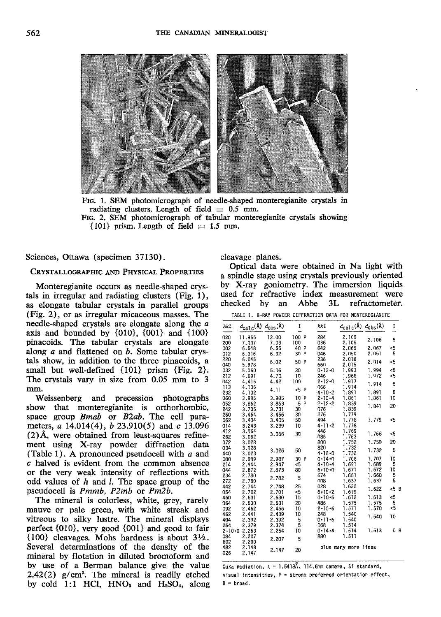

Frc. 1. SEM photomicrograph of needle-shaped monteregianite crystals in radiating clusters. Length of field  $= 0.5$  mm. Frc. 2. SEM photomicrograph of tabular monteregianite crystals showing  ${101}$  prism. Length of field  $= 1.5$  mm.

Sciences, Ottawa (specimen 37130).

# CRYSTALLOGRAPHIC AND PHYSICAL PROPERTIES

Monteregianite occurs as needle-shaped crystals in irregular and radiating clusters  $(Fig. 1)$ , as elongate tabular crystals in parallel groups (Fig. 2), or as irregular micaceous masses. The needle-shaped crystals are elongate along the a axis and bounded by  $\{010\}$ ,  $\{001\}$  and  $\{100\}$ pinacoids. The tabular crystals are elongate along  $a$  and flattened on  $b$ . Some tabular crystals show, in addition to the three pinacoids, a small but well-defined {101} prism {Fig. 2}. The crystals vary in size from 0.05 mm to 3 mm.

Weissenberg and precession photographs show that monteregianite is orthorhombic, space group Bmab or B2ab. The cell parameters,  $a\ 14.014(4)$ ,  $b\ 23.910(5)$  and  $c\ 13.096$  $(2)$ Å, were obtained from least-squares refinement using X-ray powder diffraction data (Table 1). A pronounced pseudocell with a and c halved is evident from the common absence or the very weak intensity of reflections with odd values of  $h$  and  $l$ . The space group of the pseudocell is Pmmb, P2mb or Pm2b.

The mineral is colorless, white, grey, rarely mauve or pale green, with white streak and vitreous to silky lustre. The mineral displays perfect {010}, very good {O01} and good to fair  $\{100\}$  cleavages. Mohs hardness is about  $3\frac{1}{2}$ . Several determinations of the density of the mineral by flotation in diluted bromoform and by use of a Berman balance give the value 2.42(2)  $g/cm<sup>3</sup>$ . The mineral is readily etched by cold 1:1 HCl,  $HNO<sub>3</sub>$  and  $H<sub>2</sub>SO<sub>4</sub>$ , along cleavage planes.

Optical data were obtained in Na light with a spindle stage using crystals previously oriented by X-ray goniometry. The immersion liquids used for refractive index measurement were checked by an Abbe 3L refractometer.

TABLE 1. X-RAY POWDER DIFFRACTION DATA FOR MONTEREGIANITE

| hkl          | $d_{\texttt{calc}}(\texttt{A})$ $d_{\texttt{obs}}(\texttt{A})$ |       | I     |   | hkl           | $d_{\text{calc}}(\hat{A}) d_{\text{obs}}(\hat{A})$ |       | I            |
|--------------|----------------------------------------------------------------|-------|-------|---|---------------|----------------------------------------------------|-------|--------------|
| 020          | 11.955                                                         | 12.00 | 100 P |   | 284           | 2.105                                              | 2.106 | 5            |
| 200          | 7.007                                                          | 7.03  | 100   |   | 036           | 2.105                                              |       |              |
| 002          | 6.548                                                          | 6.55  | 40    | P | 642           | 2.065                                              | 2.067 | $\epsilon$ 5 |
| 012          | 6.316                                                          | 6.32  | 30    | P | 046           | 2.050                                              | 2.051 | 5            |
| 220<br>040   | 6.045<br>5.978                                                 | 6.02  | 50    | P | 236<br>660    | 2.016<br>2.015                                     | 2.014 | <5           |
| 032          | 5.060                                                          | 5.06  | 30    |   | $0 - 12 - 0$  | 1.993                                              | 1.994 | <5           |
| 212          | 4.691                                                          | 4.70  | 10    |   | 246           | 1.968                                              | 1.972 | <5           |
| 042          | 4.415                                                          | 4.42  | 100   |   | $2 - 12 - 0$  | 1.917                                              |       |              |
| 113          | 4.106                                                          |       |       |   | 066           | 1.914                                              | 1.914 | 5            |
| 232          | 4.102                                                          | 4.11  | <5    | P | $-4 - 10 - 2$ | 1.891                                              | 1.891 | 5            |
| 060          | 3.985                                                          | 3.985 | 10    | P | $2 - 10 - 4$  | 1.861                                              | 1.861 | 10           |
| 052          | 3.862                                                          | 3.863 | 5     | P | $2 - 12 - 2$  | 1.839                                              |       |              |
| 242          | 3.735                                                          | 3.731 | 30    |   | 076           | 1.839                                              | 1.841 | 20           |
| 260          | 3.464                                                          | 3.466 | 30    |   | 276           | 1.779                                              |       |              |
| 062          | 3.404                                                          | 3.405 | 50    |   | 494           | 1.778                                              | 1.779 | <5           |
| 014          | 3.243                                                          | 3.239 | 10    |   | $4 - 11 - 2$  | 1.778                                              |       |              |
| 412          | 3.064                                                          |       |       |   | 446           | 1.769                                              |       |              |
| 262          | 3.062                                                          | 3.066 | 30    |   | 086           | 1.763                                              | 1.766 | <5           |
| 072          | 3.028                                                          |       |       |   | 800           | 1.752                                              | 1.750 | 20           |
| 034          | 3.028                                                          |       |       |   | 820           | 1.732                                              |       |              |
| 440          | 3.023                                                          | 3.026 | 50    |   | $4 - 12 - 0$  | 1.732                                              | 1.732 | 5            |
| 080          | 2.989                                                          | 2.987 | 30    | P | $0.14 - 0$    | 1,708                                              | 1,707 | 10           |
| 214          | 2.944                                                          | 2.947 | <5    |   | $4 - 10 - 4$  | 1.691                                              | 1.689 | 5            |
| 044          | 2.872                                                          | 2.873 | 80    |   | $6 - 10 - 0$  | 1.671                                              | 1.672 | 10           |
| 234          | 2.780                                                          |       |       |   | 674           | 1.661                                              | 1.660 | 5            |
| 272          | 2.780                                                          | 2.782 | 5     |   | 008           | 1.637                                              | 1.637 | 5            |
| 442          | 2.744                                                          | 2.748 | 25    |   | 028           | 1.622                                              |       | <5<br>B      |
| 054          | 2.702                                                          | 2.701 | <5    |   | $6.10 - 2$    | 1.619                                              | 1.622 |              |
| 460          | 2.631                                                          | 2.630 | 15    |   | $0.10 - 6$    | 1.612                                              | 1.613 | <5           |
| 064          | 2.530                                                          | 2.531 | 20    |   | 486           | 1.575                                              | 1.575 | 5            |
| 092          | 2.462                                                          | 2.466 | 10    |   | $2 - 10 - 6$  | 1.571                                              | 1.570 | <5           |
| 462          | 2.441                                                          | 2.439 | 10    |   | 248           | 1.540                                              | 1.540 | 10           |
| 404          | 2.392                                                          | 2.392 | 5     |   | $0.11 - 6$    | 1.540                                              |       |              |
| 264          | 2.379                                                          | 2.374 | 5     |   | 068           | 1.514                                              |       |              |
| $2 - 10 - 0$ | 2.263                                                          | 2.264 | 10    |   | $0.14 - 4$    | 1.514                                              | 1.513 | 5 B          |
| 084          | 2.207                                                          |       |       |   | 880           | 1.511                                              |       |              |
| 602          | 2.200                                                          | 2.207 | 5     |   |               |                                                    |       |              |
| 482<br>026   | 2.148<br>2.147                                                 | 2.147 | 20    |   |               | plus many more lines                               |       |              |

CuK<sub>a</sub> radiation,  $\lambda = 1.5418\text{\AA}$ , 114.6mm camera, Si standard, visual intensities,  $P =$  strong preferred orientation effect,  $B = broad.$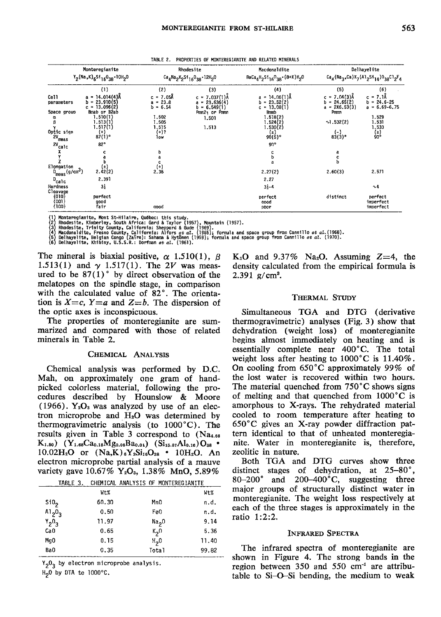TABLE 2. PROPERTIES OF MONTEREGIANITE AND RELATED MINERALS

| Monteregianite<br>Y <sub>2</sub> (Na,K) <sub>6</sub> S1 <sub>16</sub> 0 <sub>38</sub> .10H <sub>2</sub> 0 |                                                                                                                                                                    | Rhodesite<br>Ca <sub>4</sub> Na <sub>2</sub> K <sub>2</sub> Si <sub>16</sub> 0 <sub>38</sub> -12H <sub>2</sub> 0 |                                                                                                             | Macdonaldite<br>$BaCa_{4}H_{2}Si_{16}O_{38} \cdot (8+X)H_{2}O$                                                                                    | Delhayelite<br>$Ca_{A}$ (Na <sub>3</sub> ,Ca)K <sub>7</sub> (A1 <sub>2</sub> Si <sub>14</sub> )O <sub>38</sub> C1 <sub>2</sub> F <sub>4</sub> |                                                                                                         |
|-----------------------------------------------------------------------------------------------------------|--------------------------------------------------------------------------------------------------------------------------------------------------------------------|------------------------------------------------------------------------------------------------------------------|-------------------------------------------------------------------------------------------------------------|---------------------------------------------------------------------------------------------------------------------------------------------------|-----------------------------------------------------------------------------------------------------------------------------------------------|---------------------------------------------------------------------------------------------------------|
|                                                                                                           |                                                                                                                                                                    |                                                                                                                  |                                                                                                             |                                                                                                                                                   |                                                                                                                                               |                                                                                                         |
| Cell<br>parameters<br>Space group<br>Optic sign<br><b>2V</b><br>meas<br>2٧<br>'calc                       | $_{(1)}$<br>$= 14.014(4)$ Å<br>a<br>23.910(5)<br>h =<br>$c = 13.096(2)$<br>Bmab or B2ab<br>1.510(1)<br>1.513(1)<br>1.517(1)<br>$^{(+)}$<br>$87(1)$ °<br>$82^\circ$ | (2)<br>c = 7.05Ă<br>$a = 23.8$<br>$b = 6.54$<br>1,502<br>1.505<br>1.515<br>$(+)$ ?<br>1ow                        | (3)<br>$c = 7.037(1)$ Å<br>$a = 23.636(4)$<br>$b = 6,549(1)$<br>Pmn2 <sub>1</sub> or Pmmn<br>1.501<br>1.513 | $(4)$<br>$a = 14.06(1)$ Å<br>$b = 23.52(2)$<br>$c = 13.08(1)$<br>Bmmb<br>1.518(2)<br>1.524(2)<br>1.530(2)<br>$^{(\pm)}$<br>90(5)°<br>$90^{\circ}$ | (5)<br>$c = 7.04(3)$ Å<br>$b = 24.65(2)$<br>$a = 2X6.53(3)$<br>Pmm<br>$\sqrt{1.532(2)}$<br>$_{83(3)^{\circ}}^{(-)}$                           | (6)<br>$c = 7.1A$<br>$b = 24.6 - 25$<br>$a = 6.69 - 6.75$<br>1.529<br>1.531<br>1.533<br>$\binom{1}{90}$ |
| X<br>Elongation<br>$D_{meas}(g/cm^3)$<br>$D_{\text{calc}}$<br>Hardness                                    | $_{2.42(2)}^{(\pm)}$<br>2,391<br>3}                                                                                                                                | 2.36                                                                                                             |                                                                                                             | 2.27(2)<br>2.27<br>$3 - 4$                                                                                                                        | a<br>c<br>h<br>2.60(3)                                                                                                                        | 2.571<br>$\sim 4$                                                                                       |
| Cleavage<br>${010}$<br>${001}$<br>${100}$                                                                 | perfect<br>good<br>fair                                                                                                                                            | aood                                                                                                             |                                                                                                             | perfect<br>aood<br>poor                                                                                                                           | distinct                                                                                                                                      | perfect<br>imperfect<br>imperfect                                                                       |

(1) Monteregianite, Mont St-Hilaire, Québec: this study.<br>
(2) Rhodesite, Kimberley, South Africa: Gard & Taylor (1957), Mountain (1957).<br>
(3) Rhodesite, Trinity County, California: Sheppard & Gude (1969).<br>
(4) Macdonaldit

The mineral is biaxial positive,  $\alpha$  1.510(1),  $\beta$ 1.513(1) and  $\gamma$  1.517(1). The 2V was measured to be  $87(1)$ ° by direct observation of the melatopes on the spindle stage, in comparison with the calculated value of 82°. The orientation is  $X=c$ ,  $Y=a$  and  $Z=b$ . The dispersion of the optic axes is inconspicuous.

The properties of monteregianite are summarized and compared with those of related minerals in Table 2.

# CHEMICAL ANALYSIS

Chemical analysis was performed by D.C. Mah, on approximately one gram of handpicked colorless material, following the procedures described by Hounslow & Moore  $(1966)$ . Y<sub>2</sub>O<sub>3</sub> was analyzed by use of an electron microprobe and  $H_2O$  was determined by thermogravimetric analysis (to  $1000^{\circ}$ C). The results given in Table 3 correspond to  $(Na<sub>4.66</sub>)$  $K_{1.80}$ )  $(Y_{1.68}Ca_{0.18}Mg_{0.06}Ba_{0.04})$   $(Si_{15.87}Al_{0.16})O_{38}$  $10.02H_2O$  or  $(Na,K)_{6}Y_{2}Si_{16}O_{38}$  •  $10H_2O$ . An electron microprobe partial analysis of a mauve variety gave 10.67% Y<sub>2</sub>O<sub>3</sub>, 1.38% MnO, 5.89%

| TABLE 3.         |       | CHEMICAL ANALYSIS OF MONTEREGIANITE |       |
|------------------|-------|-------------------------------------|-------|
|                  | Wt%   |                                     | Wt%   |
| Si0 <sub>2</sub> | 60.30 | Mn <sub>0</sub>                     | n.d.  |
| $A1_{2}0_{3}$    | 0.50  | Fe0                                 | n.d.  |
| $Y_20_3$         | 11.97 | Na <sub>2</sub> 0                   | 9.14  |
| Ca <sub>0</sub>  | 0.65  | $k2$ n                              | 5.36  |
| Ma0              | 0.15  | H <sub>2</sub> 0                    | 11.40 |
| Ba0              | 0.35  | Total                               | 99.82 |

 $Y_2O_3$  by electron microprobe analysis.

H<sub>2</sub>0 by DTA to 1000°C.

 $K_2O$  and 9.37% Na<sub>2</sub>O. Assuming Z=4, the density calculated from the empirical formula is 2.391  $g/cm^3$ .

#### **THERMAL STUDY**

Simultaneous TGA and DTG (derivative thermogravimetric) analyses (Fig. 3) show that dehydration (weight loss) of monteregianite begins almost immediately on heating and is essentially complete near 400°C. The total weight loss after heating to  $1000^{\circ}$ C is  $11.40\%$ . On cooling from  $650^{\circ}$ C approximately 99% of the lost water is recovered within two hours. The material quenched from  $750^{\circ}$ C shows signs of melting and that quenched from  $1000^{\circ}$ C is amorphous to X-rays. The rehydrated material cooled to room temperature after heating to 650°C gives an X-ray powder diffraction pattern identical to that of unheated monteregianite. Water in monteregianite is, therefore, zeolitic in nature.

Both TGA and DTG curves show three distinct stages of dehydration, at  $25-80^{\circ}$ ,  $80 - 200°$ and  $200-400^{\circ}$ C, suggesting three major groups of structurally distinct water in monteregianite. The weight loss respectively at each of the three stages is approximately in the ratio 1:2:2.

#### **INFRARED SPECTRA**

The infrared spectra of monteregianite are shown in Figure 4. The strong bands in the region between 350 and 550 cm<sup>-1</sup> are attributable to Si-O-Si bending, the medium to weak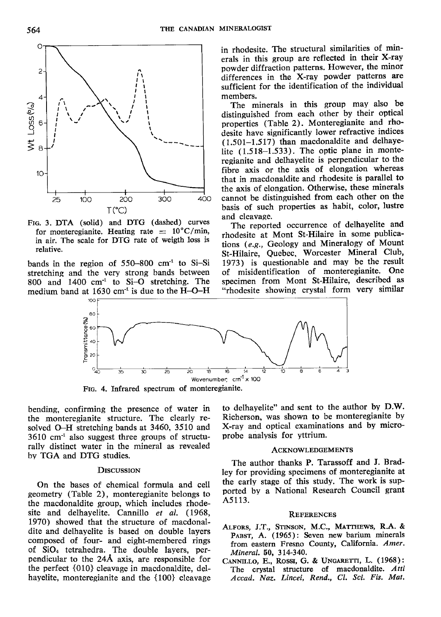

FIG. 3. DTA (solid) and DTG (dashed) curves for monteregianite. Heating rate  $= 10^{\circ}$ C/min, in air. The scale for DTG rate of weigth loss is relative.

bands in the region of 55G-800 cm" to Si-Si stretching and the very strong bands between 800 and 1400  $cm<sup>-1</sup>$  to Si-O stretching. The medium band at 1630 cm<sup>-1</sup> is due to the  $\text{H--O--H}$  in rhodesite. The structural similarities of minerals in this group are reflected in their X-ray powder diffraction patterns. However, the minor differences in the X-ray powder patterns are sufficient for the identification of the individual members.

The minerals in this group may also be distinguished from each other by their optical properties (Table 2). Monteregianite and rhodesite have significantly lower refractive indices (1.501-1.517) than macdonaldite and delhayelite (1.518-1.533). The optic plane in monteregianite and delhayelite is perpendicular to the fibre axis or the axis of elongation whereas that in macdonaldite and rhodesite is parallel to the axis of elongation. Otherwise, these minerals cannot be distinguished from each other on the basis of such properties as habit, color, lustre and cleavage,

The reported occurrence of delhayelite and rhodesite at Mont St-Hilaire in some publica' tions  $(e.g.,$  Geology and Mineralogy of Mount St-Hilaire, Quebec, Worcester Mineral Club, 1973) is questionable and may be the result of misidentification of monteregianite. One specimen from Mont St-Hilaire, described as "rhodesite showing crystal form very similar



FIG. 4. Infrared spectrum of monteregianite.

bending, confirming the presence of water in the monteregianite structure. The clearly resolved O-H stretching bands at 3460, 3510 and  $3610$  cm<sup>-1</sup> also suggest three groups of structurally distinct water in the mineral as revealed bv TGA and DTG studies.

# **DISCUSSION**

On the bases of chemical formula and cell geometry (Table 2), monteregianite beloqgs to the macdonaldite group, which includes rhodesite and delhayelite. Cannillo et al. (1968, 1970) showed that the structure of macdonaldite and delhayelite is based on double layers composed of four- and eight-membered rings of SiOa tetrahedra. The double layers, perpendicular to the 244 axis, are responsible for the perfect {010} cleavage in macdonaldite, delhayelite, monteregianite and the  $\{100\}$  cleavage to delhayelite" and sent to the author by D.W. Richerson. was shown to be monteregianite by X-ray and optical examinations and bv microprobe analysis for vttrium.

# ACKNOWLEDGEMENTS

The author thanks P. Tarassoff and J. Bradley for providing specimens of monteregianite at the early stage of this study. The work is supported by a National Research Council grant A5113.

#### **REFERENCES**

- ALFORS, J.T., STINSON, M.C., MATTHEWS, R.A. & PABST, A. (1965): Seven new barium minerals from eastern Fresno County, California, Amer. Mineral. 50, 314-340.
- CANNILLO, E., ROSSI, G. & UNGARETTI, L. (1968): The crystal structure of macdonaldite. Atti Accad. Naz. Lincei, Rend., Cl, Sci. Fis, Mat,